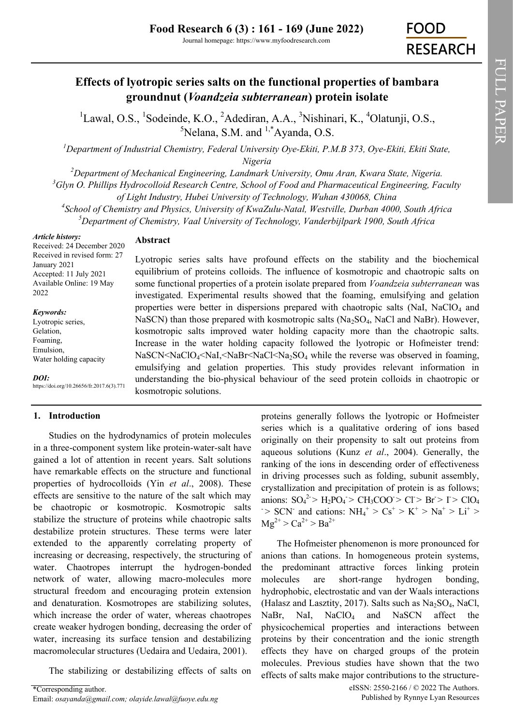# **Effects of lyotropic series salts on the functional properties of bambara groundnut (***Voandzeia subterranean***) protein isolate**

<sup>1</sup>Lawal, O.S., <sup>1</sup>Sodeinde, K.O., <sup>2</sup>Adediran, A.A., <sup>3</sup>Nishinari, K., <sup>4</sup>Olatunji, O.S.,  $5$ Nelana, S.M. and  $1,$ <sup>\*</sup>Ayanda, O.S.

*<sup>1</sup>Department of Industrial Chemistry, Federal University Oye-Ekiti, P.M.B 373, Oye-Ekiti, Ekiti State, Nigeria*

*<sup>2</sup>Department of Mechanical Engineering, Landmark University, Omu Aran, Kwara State, Nigeria. <sup>3</sup>Glyn O. Phillips Hydrocolloid Research Centre, School of Food and Pharmaceutical Engineering, Faculty* 

*of Light Industry, Hubei University of Technology, Wuhan 430068, China*

*4 School of Chemistry and Physics, University of KwaZulu-Natal, Westville, Durban 4000, South Africa <sup>5</sup>Department of Chemistry, Vaal University of Technology, Vanderbijlpark 1900, South Africa* 

> Lyotropic series salts have profound effects on the stability and the biochemical equilibrium of proteins colloids. The influence of kosmotropic and chaotropic salts on some functional properties of a protein isolate prepared from *Voandzeia subterranean* was investigated. Experimental results showed that the foaming, emulsifying and gelation properties were better in dispersions prepared with chaotropic salts (NaI, NaClO<sub>4</sub> and NaSCN) than those prepared with kosmotropic salts  $(Na_2SO_4, NaCl$  and NaBr). However, kosmotropic salts improved water holding capacity more than the chaotropic salts. Increase in the water holding capacity followed the lyotropic or Hofmeister trend:  $NaSCN45444$  while the reverse was observed in foaming, emulsifying and gelation properties. This study provides relevant information in understanding the bio-physical behaviour of the seed protein colloids in chaotropic or

*Article history:*

## **Abstract**

kosmotropic solutions.

Received: 24 December 2020 Received in revised form: 27 January 2021 Accepted: 11 July 2021 Available Online: 19 May 2022

#### *Keywords:*

Lyotropic series, Gelation, Foaming, Emulsion, Water holding capacity

*DOI:*

https://doi.org/10.26656/fr.2017.6(3).771

## **1. Introduction**

Studies on the hydrodynamics of protein molecules in a three-component system like protein-water-salt have gained a lot of attention in recent years. Salt solutions have remarkable effects on the structure and functional properties of hydrocolloids (Yin *et al*., 2008). These effects are sensitive to the nature of the salt which may be chaotropic or kosmotropic. Kosmotropic salts stabilize the structure of proteins while chaotropic salts destabilize protein structures. These terms were later extended to the apparently correlating property of increasing or decreasing, respectively, the structuring of water. Chaotropes interrupt the hydrogen-bonded network of water, allowing macro-molecules more structural freedom and encouraging protein extension and denaturation. Kosmotropes are stabilizing solutes, which increase the order of water, whereas chaotropes create weaker hydrogen bonding, decreasing the order of water, increasing its surface tension and destabilizing macromolecular structures (Uedaira and Uedaira, 2001).

The stabilizing or destabilizing effects of salts on

proteins generally follows the lyotropic or Hofmeister series which is a qualitative ordering of ions based originally on their propensity to salt out proteins from aqueous solutions (Kunz *et al*., 2004). Generally, the ranking of the ions in descending order of effectiveness in driving processes such as folding, subunit assembly, crystallization and precipitation of protein is as follows; anions:  $SO_4^2 > H_2PO_4 > CH_3COO > Cl > Br > I > ClO_4$  $\Rightarrow$  SCN<sup>-</sup> and cations: NH<sub>4</sub><sup>+</sup>  $>$  Cs<sup>+</sup>  $>$  K<sup>+</sup>  $>$  Na<sup>+</sup>  $>$  Li<sup>+</sup>  $>$  $Mg^{2+} > Ca^{2+} > Ba^{2+}$ 

The Hofmeister phenomenon is more pronounced for anions than cations. In homogeneous protein systems, the predominant attractive forces linking protein molecules are short-range hydrogen bonding, hydrophobic, electrostatic and van der Waals interactions (Halasz and Lasztity, 2017). Salts such as  $Na<sub>2</sub>SO<sub>4</sub>$ , NaCl, NaBr, NaI, NaClO<sub>4</sub> and NaSCN affect the physicochemical properties and interactions between proteins by their concentration and the ionic strength effects they have on charged groups of the protein molecules. Previous studies have shown that the two effects of salts make major contributions to the structure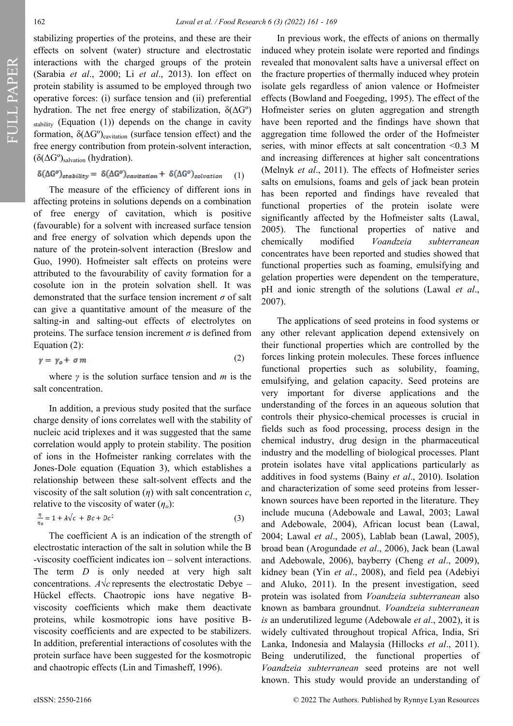FULL PAPER

stabilizing properties of the proteins, and these are their effects on solvent (water) structure and electrostatic interactions with the charged groups of the protein (Sarabia *et al*., 2000; Li *et al*., 2013). Ion effect on protein stability is assumed to be employed through two operative forces: (i) surface tension and (ii) preferential hydration. The net free energy of stabilization, δ(ΔGº)  $_{\text{stability}}$  (Equation (1)) depends on the change in cavity formation,  $\delta(\Delta G^{\circ})_{\text{cavitation}}$  (surface tension effect) and the free energy contribution from protein-solvent interaction, (δ( $ΔG<sup>o</sup>$ )<sub>salvation</sub> (hydration).

$$
\delta(\Delta G^o)_{stability} = \delta(\Delta G^o)_{cavitation} + \delta(\Delta G^o)_{solvation} \tag{1}
$$

The measure of the efficiency of different ions in affecting proteins in solutions depends on a combination of free energy of cavitation, which is positive (favourable) for a solvent with increased surface tension and free energy of solvation which depends upon the nature of the protein-solvent interaction (Breslow and Guo, 1990). Hofmeister salt effects on proteins were attributed to the favourability of cavity formation for a cosolute ion in the protein solvation shell. It was demonstrated that the surface tension increment *σ* of salt can give a quantitative amount of the measure of the salting-in and salting-out effects of electrolytes on proteins. The surface tension increment  $\sigma$  is defined from Equation (2):

$$
\gamma = \gamma_o + \sigma \, m \tag{2}
$$

where *γ* is the solution surface tension and *m* is the salt concentration.

In addition, a previous study posited that the surface charge density of ions correlates well with the stability of nucleic acid triplexes and it was suggested that the same correlation would apply to protein stability. The position of ions in the Hofmeister ranking correlates with the Jones-Dole equation (Equation 3), which establishes a relationship between these salt-solvent effects and the viscosity of the salt solution (*η*) with salt concentration *c*, relative to the viscosity of water (*ηo*):

$$
\frac{\eta}{n_0} = 1 + A\sqrt{c} + Bc + Dc^2 \tag{3}
$$

The coefficient A is an indication of the strength of electrostatic interaction of the salt in solution while the B -viscosity coefficient indicates ion – solvent interactions. The term *D* is only needed at very high salt concentrations. *A* $\sqrt{c}$  represents the electrostatic Debye – Hückel effects. Chaotropic ions have negative Bviscosity coefficients which make them deactivate proteins, while kosmotropic ions have positive Bviscosity coefficients and are expected to be stabilizers. In addition, preferential interactions of cosolutes with the protein surface have been suggested for the kosmotropic and chaotropic effects (Lin and Timasheff, 1996).

In previous work, the effects of anions on thermally induced whey protein isolate were reported and findings revealed that monovalent salts have a universal effect on the fracture properties of thermally induced whey protein isolate gels regardless of anion valence or Hofmeister effects (Bowland and Foegeding, 1995). The effect of the Hofmeister series on gluten aggregation and strength have been reported and the findings have shown that aggregation time followed the order of the Hofmeister series, with minor effects at salt concentration <0.3 M and increasing differences at higher salt concentrations (Melnyk *et al*., 2011). The effects of Hofmeister series salts on emulsions, foams and gels of jack bean protein has been reported and findings have revealed that functional properties of the protein isolate were significantly affected by the Hofmeister salts (Lawal, 2005). The functional properties of native and chemically modified *Voandzeia subterranean* concentrates have been reported and studies showed that functional properties such as foaming, emulsifying and gelation properties were dependent on the temperature, pH and ionic strength of the solutions (Lawal *et al*., 2007).

The applications of seed proteins in food systems or any other relevant application depend extensively on their functional properties which are controlled by the forces linking protein molecules. These forces influence functional properties such as solubility, foaming, emulsifying, and gelation capacity. Seed proteins are very important for diverse applications and the understanding of the forces in an aqueous solution that controls their physico-chemical processes is crucial in fields such as food processing, process design in the chemical industry, drug design in the pharmaceutical industry and the modelling of biological processes. Plant protein isolates have vital applications particularly as additives in food systems (Bainy *et al*., 2010). Isolation and characterization of some seed proteins from lesserknown sources have been reported in the literature. They include mucuna (Adebowale and Lawal, 2003; Lawal and Adebowale, 2004), African locust bean (Lawal, 2004; Lawal *et al*., 2005), Lablab bean (Lawal, 2005), broad bean (Arogundade *et al*., 2006), Jack bean (Lawal and Adebowale, 2006), bayberry (Cheng *et al*., 2009), kidney bean (Yin *et al*., 2008), and field pea (Adebiyi and Aluko, 2011). In the present investigation, seed protein was isolated from *Voandzeia subterranean* also known as bambara groundnut. *Voandzeia subterranean is* an underutilized legume (Adebowale *et al*., 2002), it is widely cultivated throughout tropical Africa, India, Sri Lanka, Indonesia and Malaysia (Hillocks *et al*., 2011). Being underutilized, the functional properties of *Voandzeia subterranean* seed proteins are not well known. This study would provide an understanding of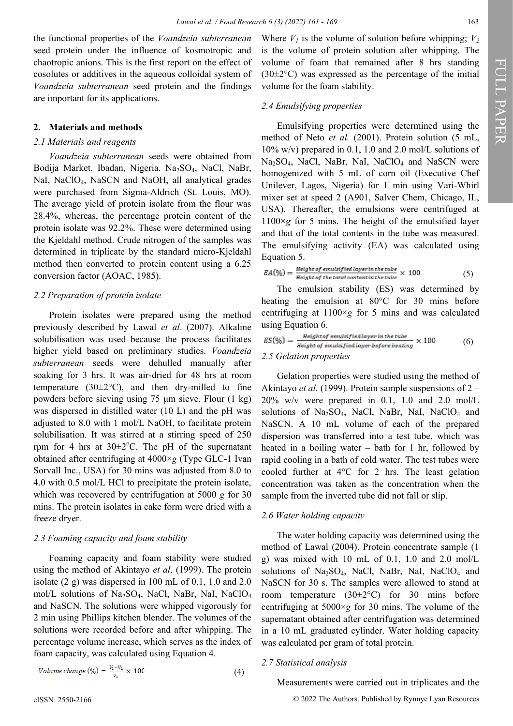the functional properties of the *Voandzeia subterranean*  seed protein under the influence of kosmotropic and chaotropic anions. This is the first report on the effect of cosolutes or additives in the aqueous colloidal system of *Voandzeia subterranean* seed protein and the findings are important for its applications.

## **2. Materials and methods**

## *2.1 Materials and reagents*

*Voandzeia subterranean* seeds were obtained from Bodija Market, Ibadan, Nigeria. Na2SO4, NaCl, NaBr, NaI, NaClO4, NaSCN and NaOH, all analytical grades were purchased from Sigma-Aldrich (St. Louis, MO). The average yield of protein isolate from the flour was 28.4%, whereas, the percentage protein content of the protein isolate was 92.2%. These were determined using the Kjeldahl method. Crude nitrogen of the samples was determined in triplicate by the standard micro-Kjeldahl method then converted to protein content using a 6.25 conversion factor (AOAC, 1985).

#### *2.2 Preparation of protein isolate*

Protein isolates were prepared using the method previously described by Lawal *et al*. (2007). Alkaline solubilisation was used because the process facilitates higher yield based on preliminary studies. *Voandzeia subterranean* seeds were dehulled manually after soaking for 3 hrs. It was air-dried for 48 hrs at room temperature (30 $\pm$ 2°C), and then dry-milled to fine powders before sieving using 75 μm sieve. Flour (1 kg) was dispersed in distilled water (10 L) and the pH was adjusted to 8.0 with 1 mol/L NaOH, to facilitate protein solubilisation. It was stirred at a stirring speed of 250 rpm for 4 hrs at  $30\pm2^{\circ}$ C. The pH of the supernatant obtained after centrifuging at 4000×*g* (Type GLC-1 Ivan Sorvall Inc., USA) for 30 mins was adjusted from 8.0 to 4.0 with 0.5 mol/L HCl to precipitate the protein isolate, which was recovered by centrifugation at 5000 *g* for 30 mins. The protein isolates in cake form were dried with a freeze dryer.

## *2.3 Foaming capacity and foam stability*

Foaming capacity and foam stability were studied using the method of Akintayo *et al*. (1999). The protein isolate (2 g) was dispersed in 100 mL of 0.1, 1.0 and 2.0 mol/L solutions of Na2SO4, NaCl, NaBr, NaI, NaClO<sup>4</sup> and NaSCN. The solutions were whipped vigorously for 2 min using Phillips kitchen blender. The volumes of the solutions were recorded before and after whipping. The percentage volume increase, which serves as the index of foam capacity, was calculated using Equation 4.

Volume change 
$$
(\%) = \frac{v_2 - v_1}{v_1} \times 100
$$
 (4)

Where  $V_1$  is the volume of solution before whipping;  $V_2$ is the volume of protein solution after whipping. The volume of foam that remained after 8 hrs standing  $(30\pm2\degree C)$  was expressed as the percentage of the initial volume for the foam stability.

### *2.4 Emulsifying properties*

Emulsifying properties were determined using the method of Neto *et al.* (2001). Protein solution (5 mL, 10% w/v) prepared in 0.1, 1.0 and 2.0 mol/L solutions of Na<sub>2</sub>SO<sub>4</sub>, NaCl, NaBr, NaI, NaClO<sub>4</sub> and NaSCN were homogenized with 5 mL of corn oil (Executive Chef Unilever, Lagos, Nigeria) for 1 min using Vari-Whirl mixer set at speed 2 (A901, Salver Chem, Chicago, IL, USA). Thereafter, the emulsions were centrifuged at  $1100 \times g$  for 5 mins. The height of the emulsified layer and that of the total contents in the tube was measured. The emulsifying activity (EA) was calculated using Equation 5.

$$
EA(\%) = \frac{Height\ of\ emulsified\ layer\ in\ the\ tube}{Height\ of\ the\ total\ content\ in\ the\ tube} \times 100
$$
 (5)

The emulsion stability (ES) was determined by heating the emulsion at 80°C for 30 mins before centrifuging at 1100×*g* for 5 mins and was calculated using Equation 6.

$$
ES(\%) = \frac{Height of \text{ emulsified layer in the tube}}{Height of \text{ emulsified layer before heating}} \times 100
$$
 (6)  
2.5 *Gelation properties*

Gelation properties were studied using the method of Akintayo *et al.* (1999). Protein sample suspensions of 2 – 20% w/v were prepared in 0.1, 1.0 and 2.0 mol/L solutions of  $Na<sub>2</sub>SO<sub>4</sub>$ , NaCl, NaBr, NaI, NaClO<sub>4</sub> and NaSCN. A 10 mL volume of each of the prepared dispersion was transferred into a test tube, which was heated in a boiling water  $-$  bath for 1 hr, followed by rapid cooling in a bath of cold water. The test tubes were cooled further at 4°C for 2 hrs. The least gelation concentration was taken as the concentration when the sample from the inverted tube did not fall or slip.

## *2.6 Water holding capacity*

The water holding capacity was determined using the method of Lawal (2004). Protein concentrate sample (1 g) was mixed with 10 mL of 0.1, 1.0 and 2.0 mol/L solutions of  $Na<sub>2</sub>SO<sub>4</sub>$ , NaCl, NaBr, NaI, NaClO<sub>4</sub> and NaSCN for 30 s. The samples were allowed to stand at room temperature  $(30\pm2\degree C)$  for 30 mins before centrifuging at 5000×*g* for 30 mins. The volume of the supernatant obtained after centrifugation was determined in a 10 mL graduated cylinder. Water holding capacity was calculated per gram of total protein.

#### *2.7 Statistical analysis*

Measurements were carried out in triplicates and the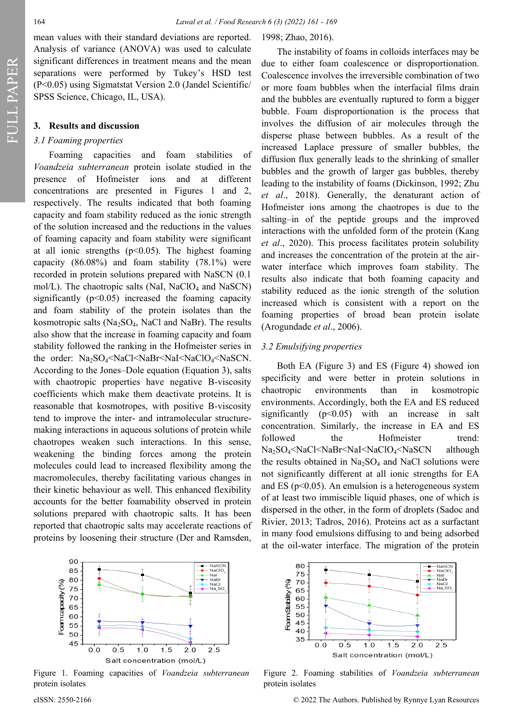FULL PAPER

## **3. Results and discussion**

## *3.1 Foaming properties*

Foaming capacities and foam stabilities of *Voandzeia subterranean* protein isolate studied in the presence of Hofmeister ions and at different concentrations are presented in Figures 1 and 2, respectively. The results indicated that both foaming capacity and foam stability reduced as the ionic strength of the solution increased and the reductions in the values of foaming capacity and foam stability were significant at all ionic strengths  $(p<0.05)$ . The highest foaming capacity (86.08%) and foam stability (78.1%) were recorded in protein solutions prepared with NaSCN (0.1 mol/L). The chaotropic salts (NaI, NaClO<sub>4</sub> and NaSCN) significantly  $(p<0.05)$  increased the foaming capacity and foam stability of the protein isolates than the kosmotropic salts ( $Na<sub>2</sub>SO<sub>4</sub>$ , NaCl and NaBr). The results also show that the increase in foaming capacity and foam stability followed the ranking in the Hofmeister series in the order: Na<sub>2</sub>SO<sub>4</sub><NaCl<NaBr<NaI<NaClO<sub>4</sub><NaSCN. According to the Jones–Dole equation (Equation 3), salts with chaotropic properties have negative B-viscosity coefficients which make them deactivate proteins. It is reasonable that kosmotropes, with positive B-viscosity tend to improve the inter- and intramolecular structuremaking interactions in aqueous solutions of protein while chaotropes weaken such interactions. In this sense, weakening the binding forces among the protein molecules could lead to increased flexibility among the macromolecules, thereby facilitating various changes in their kinetic behaviour as well. This enhanced flexibility accounts for the better foamability observed in protein solutions prepared with chaotropic salts. It has been reported that chaotropic salts may accelerate reactions of proteins by loosening their structure (Der and Ramsden,



Figure 1. Foaming capacities of *Voandzeia subterranean* protein isolates

1998; Zhao, 2016).

The instability of foams in colloids interfaces may be due to either foam coalescence or disproportionation. Coalescence involves the irreversible combination of two or more foam bubbles when the interfacial films drain and the bubbles are eventually ruptured to form a bigger bubble. Foam disproportionation is the process that involves the diffusion of air molecules through the disperse phase between bubbles. As a result of the increased Laplace pressure of smaller bubbles, the diffusion flux generally leads to the shrinking of smaller bubbles and the growth of larger gas bubbles, thereby leading to the instability of foams (Dickinson, 1992; Zhu *et al*., 2018). Generally, the denaturant action of Hofmeister ions among the chaotropes is due to the salting–in of the peptide groups and the improved interactions with the unfolded form of the protein (Kang *et al*., 2020). This process facilitates protein solubility and increases the concentration of the protein at the airwater interface which improves foam stability. The results also indicate that both foaming capacity and stability reduced as the ionic strength of the solution increased which is consistent with a report on the foaming properties of broad bean protein isolate (Arogundade *et al*., 2006).

## *3.2 Emulsifying properties*

Both EA (Figure 3) and ES (Figure 4) showed ion specificity and were better in protein solutions in chaotropic environments than in kosmotropic environments. Accordingly, both the EA and ES reduced significantly  $(p<0.05)$  with an increase in salt concentration. Similarly, the increase in EA and ES followed the Hofmeister trend: Na<sub>2</sub>SO<sub>4</sub><NaCl<NaBr<NaI<NaClO<sub>4</sub><NaSCN although the results obtained in  $Na<sub>2</sub>SO<sub>4</sub>$  and NaCl solutions were not significantly different at all ionic strengths for EA and ES ( $p<0.05$ ). An emulsion is a heterogeneous system of at least two immiscible liquid phases, one of which is dispersed in the other, in the form of droplets (Sadoc and Rivier, 2013; Tadros, 2016). Proteins act as a surfactant in many food emulsions diffusing to and being adsorbed at the oil-water interface. The migration of the protein



Figure 2. Foaming stabilities of *Voandzeia subterranean* protein isolates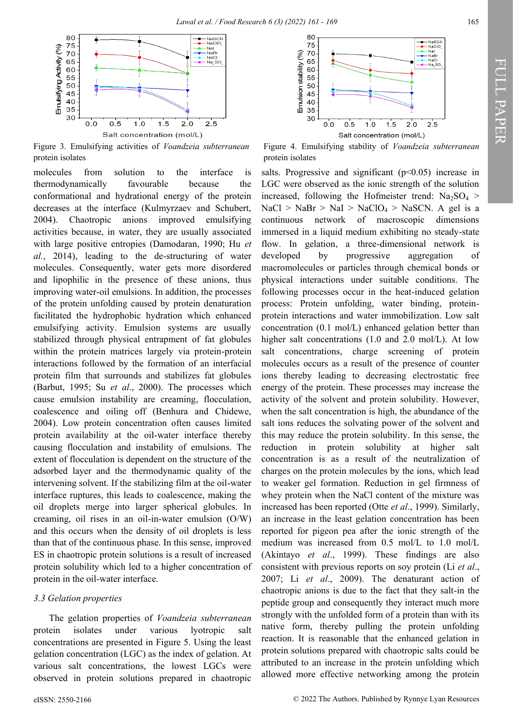

Figure 3. Emulsifying activities of *Voandzeia subterranean*  protein isolates

molecules from solution to the interface is thermodynamically favourable because the conformational and hydrational energy of the protein decreases at the interface (Kulmyrzaev and Schubert, 2004). Chaotropic anions improved emulsifying activities because, in water, they are usually associated with large positive entropies (Damodaran, 1990; Hu *et al.*, 2014), leading to the de-structuring of water molecules. Consequently, water gets more disordered and lipophilic in the presence of these anions, thus improving water-oil emulsions. In addition, the processes of the protein unfolding caused by protein denaturation facilitated the hydrophobic hydration which enhanced emulsifying activity. Emulsion systems are usually stabilized through physical entrapment of fat globules within the protein matrices largely via protein-protein interactions followed by the formation of an interfacial protein film that surrounds and stabilizes fat globules (Barbut, 1995; Su *et al*., 2000). The processes which cause emulsion instability are creaming, flocculation, coalescence and oiling off (Benhura and Chidewe, 2004). Low protein concentration often causes limited protein availability at the oil-water interface thereby causing flocculation and instability of emulsions. The extent of flocculation is dependent on the structure of the adsorbed layer and the thermodynamic quality of the intervening solvent. If the stabilizing film at the oil-water interface ruptures, this leads to coalescence, making the oil droplets merge into larger spherical globules. In creaming, oil rises in an oil-in-water emulsion (O/W) and this occurs when the density of oil droplets is less than that of the continuous phase. In this sense, improved ES in chaotropic protein solutions is a result of increased protein solubility which led to a higher concentration of protein in the oil-water interface.

## *3.3 Gelation properties*

The gelation properties of *Voandzeia subterranean* protein isolates under various lyotropic salt concentrations are presented in Figure 5. Using the least gelation concentration (LGC) as the index of gelation. At various salt concentrations, the lowest LGCs were observed in protein solutions prepared in chaotropic



Figure 4. Emulsifying stability of *Voandzeia subterranean* protein isolates

salts. Progressive and significant  $(p<0.05)$  increase in LGC were observed as the ionic strength of the solution increased, following the Hofmeister trend:  $Na<sub>2</sub>SO<sub>4</sub>$  >  $NaCl > NaBr > NaI > NaClO<sub>4</sub> > NaSCN$ . A gel is a continuous network of macroscopic dimensions immersed in a liquid medium exhibiting no steady-state flow. In gelation, a three-dimensional network is developed by progressive aggregation of macromolecules or particles through chemical bonds or physical interactions under suitable conditions. The following processes occur in the heat-induced gelation process: Protein unfolding, water binding, proteinprotein interactions and water immobilization. Low salt concentration (0.1 mol/L) enhanced gelation better than higher salt concentrations (1.0 and 2.0 mol/L). At low salt concentrations, charge screening of protein molecules occurs as a result of the presence of counter ions thereby leading to decreasing electrostatic free energy of the protein. These processes may increase the activity of the solvent and protein solubility. However, when the salt concentration is high, the abundance of the salt ions reduces the solvating power of the solvent and this may reduce the protein solubility. In this sense, the reduction in protein solubility at higher salt concentration is as a result of the neutralization of charges on the protein molecules by the ions, which lead to weaker gel formation. Reduction in gel firmness of whey protein when the NaCl content of the mixture was increased has been reported (Otte *et al*., 1999). Similarly, an increase in the least gelation concentration has been reported for pigeon pea after the ionic strength of the medium was increased from 0.5 mol/L to 1.0 mol/L (Akintayo *et al*., 1999). These findings are also consistent with previous reports on soy protein (Li *et al*., 2007; Li *et al*., 2009). The denaturant action of chaotropic anions is due to the fact that they salt-in the peptide group and consequently they interact much more strongly with the unfolded form of a protein than with its native form, thereby pulling the protein unfolding reaction. It is reasonable that the enhanced gelation in protein solutions prepared with chaotropic salts could be attributed to an increase in the protein unfolding which allowed more effective networking among the protein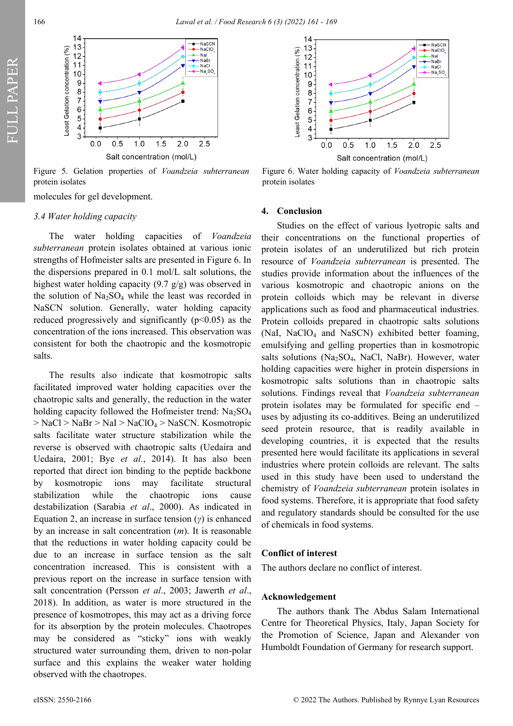

Figure 5. Gelation properties of *Voandzeia subterranean* protein isolates

molecules for gel development.

## *3.4 Water holding capacity*

The water holding capacities of *Voandzeia subterranean* protein isolates obtained at various ionic strengths of Hofmeister salts are presented in Figure 6. In the dispersions prepared in 0.1 mol/L salt solutions, the highest water holding capacity (9.7 g/g) was observed in the solution of  $Na<sub>2</sub>SO<sub>4</sub>$  while the least was recorded in NaSCN solution. Generally, water holding capacity reduced progressively and significantly  $(p<0.05)$  as the concentration of the ions increased. This observation was consistent for both the chaotropic and the kosmotropic salts.

The results also indicate that kosmotropic salts facilitated improved water holding capacities over the chaotropic salts and generally, the reduction in the water holding capacity followed the Hofmeister trend:  $Na<sub>2</sub>SO<sub>4</sub>$  $>$  NaCl  $>$  NaBr  $>$  NaI  $>$  NaClO<sub>4</sub> $>$  NaSCN. Kosmotropic salts facilitate water structure stabilization while the reverse is observed with chaotropic salts (Uedaira and Uedaira, 2001; Bye *et al.*, 2014). It has also been reported that direct ion binding to the peptide backbone by kosmotropic ions may facilitate structural stabilization while the chaotropic ions cause destabilization (Sarabia *et al*., 2000). As indicated in Equation 2, an increase in surface tension (*γ*) is enhanced by an increase in salt concentration (*m*). It is reasonable that the reductions in water holding capacity could be due to an increase in surface tension as the salt concentration increased. This is consistent with a previous report on the increase in surface tension with salt concentration (Persson *et al*., 2003; Jawerth *et al*., 2018). In addition, as water is more structured in the presence of kosmotropes, this may act as a driving force for its absorption by the protein molecules. Chaotropes may be considered as "sticky" ions with weakly structured water surrounding them, driven to non-polar surface and this explains the weaker water holding observed with the chaotropes.



Figure 6. Water holding capacity of *Voandzeia subterranean* protein isolates

## **4. Conclusion**

Studies on the effect of various lyotropic salts and their concentrations on the functional properties of protein isolates of an underutilized but rich protein resource of *Voandzeia subterranean* is presented. The studies provide information about the influences of the various kosmotropic and chaotropic anions on the protein colloids which may be relevant in diverse applications such as food and pharmaceutical industries. Protein colloids prepared in chaotropic salts solutions (NaI, NaClO<sub>4</sub> and NaSCN) exhibited better foaming, emulsifying and gelling properties than in kosmotropic salts solutions ( $Na<sub>2</sub>SO<sub>4</sub>$ , NaCl, NaBr). However, water holding capacities were higher in protein dispersions in kosmotropic salts solutions than in chaotropic salts solutions. Findings reveal that *Voandzeia subterranean* protein isolates may be formulated for specific end – uses by adjusting its co-additives. Being an underutilized seed protein resource, that is readily available in developing countries, it is expected that the results presented here would facilitate its applications in several industries where protein colloids are relevant. The salts used in this study have been used to understand the chemistry of *Voandzeia subterranean* protein isolates in food systems. Therefore, it is appropriate that food safety and regulatory standards should be consulted for the use of chemicals in food systems.

## **Conflict of interest**

The authors declare no conflict of interest.

#### **Acknowledgement**

The authors thank The Abdus Salam International Centre for Theoretical Physics, Italy, Japan Society for the Promotion of Science, Japan and Alexander von Humboldt Foundation of Germany for research support.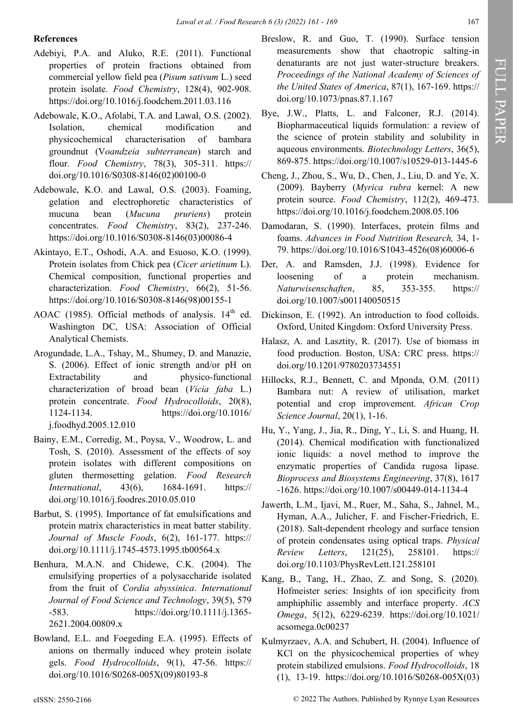## **References**

- Adebiyi, P.A. and Aluko, R.E. (2011). Functional properties of protein fractions obtained from commercial yellow field pea (*Pisum sativum* L.) seed protein isolate. *Food Chemistry*, 128(4), 902-908. https://doi.org/10.1016/j.foodchem.2011.03.116
- Adebowale, K.O., Afolabi, T.A. and Lawal, O.S. (2002). Isolation, chemical modification and physicochemical characterisation of bambara groundnut (V*oandzeia subterranean*) starch and flour. *Food Chemistry*, 78(3), 305-311. https:// doi.org/10.1016/S0308-8146(02)00100-0
- Adebowale, K.O. and Lawal, O.S. (2003). Foaming, gelation and electrophoretic characteristics of mucuna bean (*Mucuna pruriens*) protein concentrates. *Food Chemistry*, 83(2), 237-246. https://doi.org/10.1016/S0308-8146(03)00086-4
- Akintayo, E.T., Oshodi, A.A. and Esuoso, K.O. (1999). Protein isolates from Chick pea (*Cicer arietinum* L). Chemical composition, functional properties and characterization. *Food Chemistry*, 66(2), 51-56. https://doi.org/10.1016/S0308-8146(98)00155-1
- AOAC (1985). Official methods of analysis.  $14<sup>th</sup>$  ed. Washington DC, USA: Association of Official Analytical Chemists.
- Arogundade, L.A., Tshay, M., Shumey, D. and Manazie, S. (2006). Effect of ionic strength and/or pH on Extractability and physico-functional characterization of broad bean (*Vicia faba* L.) protein concentrate. *Food Hydrocolloids*, 20(8), 1124-1134. https://doi.org/10.1016/ j.foodhyd.2005.12.010
- Bainy, E.M., Corredig, M., Poysa, V., Woodrow, L. and Tosh, S. (2010). Assessment of the effects of soy protein isolates with different compositions on gluten thermosetting gelation. *Food Research International*, 43(6), 1684-1691. https:// doi.org/10.1016/j.foodres.2010.05.010
- Barbut, S. (1995). Importance of fat emulsifications and protein matrix characteristics in meat batter stability. *Journal of Muscle Foods*, 6(2), 161-177. https:// doi.org/10.1111/j.1745-4573.1995.tb00564.x
- Benhura, M.A.N. and Chidewe, C.K. (2004). The emulsifying properties of a polysaccharide isolated from the fruit of *Cordia abyssinica*. *International Journal of Food Science and Technology*, 39(5), 579 -583. https://doi.org/10.1111/j.1365- 2621.2004.00809.x
- Bowland, E.L. and Foegeding E.A. (1995). Effects of anions on thermally induced whey protein isolate gels. *Food Hydrocolloids*, 9(1), 47-56. https:// doi.org/10.1016/S0268-005X(09)80193-8
- Breslow, R. and Guo, T. (1990). Surface tension measurements show that chaotropic salting-in denaturants are not just water-structure breakers. *Proceedings of the National Academy of Sciences of the United States of America*, 87(1), 167-169. https:// doi.org/10.1073/pnas.87.1.167
- Bye, J.W., Platts, L. and Falconer, R.J. (2014). Biopharmaceutical liquids formulation: a review of the science of protein stability and solubility in aqueous environments. *Biotechnology Letters*, 36(5), 869-875. https://doi.org/10.1007/s10529-013-1445-6
- Cheng, J., Zhou, S., Wu, D., Chen, J., Liu, D. and Ye, X. (2009). Bayberry (*Myrica rubra* kernel: A new protein source. *Food Chemistry*, 112(2), 469-473. https://doi.org/10.1016/j.foodchem.2008.05.106
- Damodaran, S. (1990). Interfaces, protein films and foams. *Advances in Food Nutrition Research,* 34, 1- 79. https://doi.org/10.1016/S1043-4526(08)60006-6
- Der, A. and Ramsden, J.J. (1998). Evidence for loosening of a protein mechanism. *Naturwisenschaften*, 85, 353-355. https:// doi.org/10.1007/s001140050515
- Dickinson, E. (1992). An introduction to food colloids. Oxford, United Kingdom: Oxford University Press.
- Halasz, A. and Lasztity, R. (2017). Use of biomass in food production. Boston, USA: CRC press. https:// doi.org/10.1201/9780203734551
- Hillocks, R.J., Bennett, C. and Mponda, O.M. (2011) Bambara nut: A review of utilisation, market potential and crop improvement. *African Crop Science Journal*, 20(1), 1-16.
- Hu, Y., Yang, J., Jia, R., Ding, Y., Li, S. and Huang, H. (2014). Chemical modification with functionalized ionic liquids: a novel method to improve the enzymatic properties of Candida rugosa lipase. *Bioprocess and Biosystems Engineering*, 37(8), 1617 -1626. https://doi.org/10.1007/s00449-014-1134-4
- Jawerth, L.M., Ijavi, M., Ruer, M., Saha, S., Jahnel, M., Hyman, A.A., Julicher, F. and Fischer-Friedrich, E. (2018). Salt-dependent rheology and surface tension of protein condensates using optical traps. *Physical Review Letters*, 121(25), 258101. https:// doi.org/10.1103/PhysRevLett.121.258101
- Kang, B., Tang, H., Zhao, Z. and Song, S. (2020). Hofmeister series: Insights of ion specificity from amphiphilic assembly and interface property. *ACS Omega*, 5(12), 6229-6239. https://doi.org/10.1021/ acsomega.0c00237
- Kulmyrzaev, A.A. and Schubert, H. (2004). Influence of KCl on the physicochemical properties of whey protein stabilized emulsions. *Food Hydrocolloids*, 18 (1), 13-19. https://doi.org/10.1016/S0268-005X(03)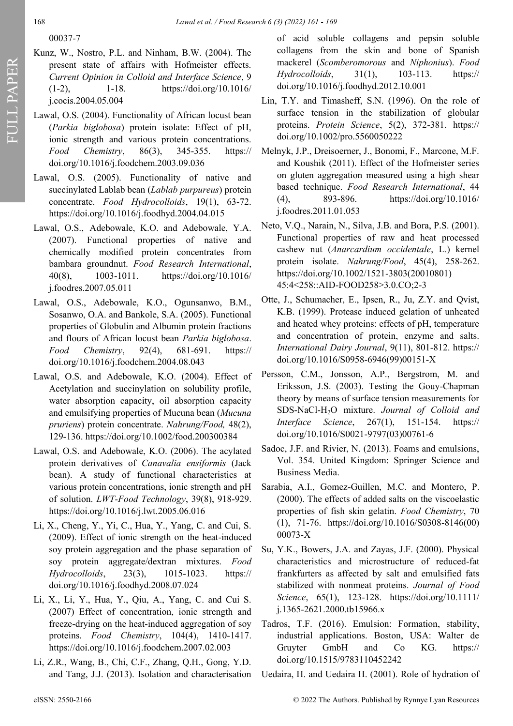- Kunz, W., Nostro, P.L. and Ninham, B.W. (2004). The present state of affairs with Hofmeister effects. *Current Opinion in Colloid and Interface Science*, 9 (1-2), 1-18. https://doi.org/10.1016/ j.cocis.2004.05.004
- Lawal, O.S. (2004). Functionality of African locust bean (*Parkia biglobosa*) protein isolate: Effect of pH, ionic strength and various protein concentrations. *Food Chemistry*, 86(3), 345-355. https:// doi.org/10.1016/j.foodchem.2003.09.036
- Lawal, O.S. (2005). Functionality of native and succinylated Lablab bean (*Lablab purpureus*) protein concentrate. *Food Hydrocolloids*, 19(1), 63-72. https://doi.org/10.1016/j.foodhyd.2004.04.015
- Lawal, O.S., Adebowale, K.O. and Adebowale, Y.A. (2007). Functional properties of native and chemically modified protein concentrates from bambara groundnut. *Food Research International*, 40(8), 1003-1011. https://doi.org/10.1016/ j.foodres.2007.05.011
- Lawal, O.S., Adebowale, K.O., Ogunsanwo, B.M., Sosanwo, O.A. and Bankole, S.A. (2005). Functional properties of Globulin and Albumin protein fractions and flours of African locust bean *Parkia biglobosa*. *Food Chemistry*, 92(4), 681-691. https:// doi.org/10.1016/j.foodchem.2004.08.043
- Lawal, O.S. and Adebowale, K.O. (2004). Effect of Acetylation and succinylation on solubility profile, water absorption capacity, oil absorption capacity and emulsifying properties of Mucuna bean (*Mucuna pruriens*) protein concentrate. *Nahrung/Food,* 48(2), 129-136. https://doi.org/10.1002/food.200300384
- Lawal, O.S. and Adebowale, K.O. (2006). The acylated protein derivatives of *Canavalia ensiformis* (Jack bean). A study of functional characteristics at various protein concentrations, ionic strength and pH of solution. *LWT-Food Technology*, 39(8), 918-929. https://doi.org/10.1016/j.lwt.2005.06.016
- Li, X., Cheng, Y., Yi, C., Hua, Y., Yang, C. and Cui, S. (2009). Effect of ionic strength on the heat-induced soy protein aggregation and the phase separation of soy protein aggregate/dextran mixtures. *Food Hydrocolloids*, 23(3), 1015-1023. https:// doi.org/10.1016/j.foodhyd.2008.07.024
- Li, X., Li, Y., Hua, Y., Qiu, A., Yang, C. and Cui S. (2007) Effect of concentration, ionic strength and freeze-drying on the heat-induced aggregation of soy proteins. *Food Chemistry*, 104(4), 1410-1417. https://doi.org/10.1016/j.foodchem.2007.02.003
- Li, Z.R., Wang, B., Chi, C.F., Zhang, Q.H., Gong, Y.D. and Tang, J.J. (2013). Isolation and characterisation

of acid soluble collagens and pepsin soluble collagens from the skin and bone of Spanish mackerel (*Scomberomorous* and *Niphonius*). *Food Hydrocolloids*, 31(1), 103-113. https:// doi.org/10.1016/j.foodhyd.2012.10.001

- Lin, T.Y. and Timasheff, S.N. (1996). On the role of surface tension in the stabilization of globular proteins. *Protein Science*, 5(2), 372-381. https:// doi.org/10.1002/pro.5560050222
- Melnyk, J.P., Dreisoerner, J., Bonomi, F., Marcone, M.F. and Koushik (2011). Effect of the Hofmeister series on gluten aggregation measured using a high shear based technique. *Food Research International*, 44 (4), 893-896. https://doi.org/10.1016/ j.foodres.2011.01.053
- Neto, V.Q., Narain, N., Silva, J.B. and Bora, P.S. (2001). Functional properties of raw and heat processed cashew nut (*Anarcardium occidentale*, L.) kernel protein isolate. *Nahrung/Food*, 45(4), 258-262. https://doi.org/10.1002/1521-3803(20010801) 45:4<258::AID-FOOD258>3.0.CO;2-3
- Otte, J., Schumacher, E., Ipsen, R., Ju, Z.Y. and Qvist, K.B. (1999). Protease induced gelation of unheated and heated whey proteins: effects of pH, temperature and concentration of protein, enzyme and salts. *International Dairy Journal*, 9(11), 801-812. https:// doi.org/10.1016/S0958-6946(99)00151-X
- Persson, C.M., Jonsson, A.P., Bergstrom, M. and Eriksson, J.S. (2003). Testing the Gouy-Chapman theory by means of surface tension measurements for SDS-NaCl-H2O mixture. *Journal of Colloid and Interface Science*, 267(1), 151-154. https:// doi.org/10.1016/S0021-9797(03)00761-6
- Sadoc, J.F. and Rivier, N. (2013). Foams and emulsions, Vol. 354. United Kingdom: Springer Science and Business Media.
- Sarabia, A.I., Gomez-Guillen, M.C. and Montero, P. (2000). The effects of added salts on the viscoelastic properties of fish skin gelatin. *Food Chemistry*, 70 (1), 71-76. https://doi.org/10.1016/S0308-8146(00) 00073-X
- Su, Y.K., Bowers, J.A. and Zayas, J.F. (2000). Physical characteristics and microstructure of reduced-fat frankfurters as affected by salt and emulsified fats stabilized with nonmeat proteins. *Journal of Food Science*, 65(1), 123-128. https://doi.org/10.1111/ j.1365-2621.2000.tb15966.x
- Tadros, T.F. (2016). Emulsion: Formation, stability, industrial applications. Boston, USA: Walter de Gruyter GmbH and Co KG. https:// doi.org/10.1515/9783110452242
- Uedaira, H. and Uedaira H. (2001). Role of hydration of